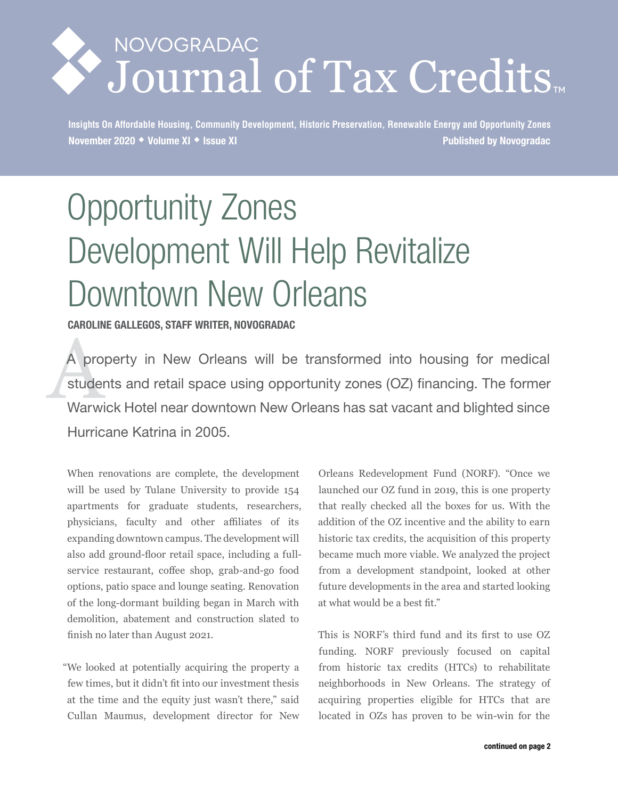# NOVOGRADAC Journal of Tax Credits

**Insights On Affordable Housing, Community Development, Historic Preservation, Renewable Energy and Opportunity Zones November 2020 Volume XI Issue XI Published by Novogradac**

# Opportunity Zones Development Will Help Revitalize Downtown New Orleans

**CAROLINE GALLEGOS, STAFF WRITER, NOVOGRADAC**

A prop<br>studer<br>Warwi A property in New Orleans will be transformed into housing for medical students and retail space using opportunity zones (OZ) financing. The former Warwick Hotel near downtown New Orleans has sat vacant and blighted since Hurricane Katrina in 2005.

When renovations are complete, the development will be used by Tulane University to provide 154 apartments for graduate students, researchers, physicians, faculty and other affiliates of its expanding downtown campus. The development will also add ground-floor retail space, including a fullservice restaurant, coffee shop, grab-and-go food options, patio space and lounge seating. Renovation of the long-dormant building began in March with demolition, abatement and construction slated to finish no later than August 2021.

"We looked at potentially acquiring the property a few times, but it didn't fit into our investment thesis at the time and the equity just wasn't there," said Cullan Maumus, development director for New

Orleans Redevelopment Fund (NORF). "Once we launched our OZ fund in 2019, this is one property that really checked all the boxes for us. With the addition of the OZ incentive and the ability to earn historic tax credits, the acquisition of this property became much more viable. We analyzed the project from a development standpoint, looked at other future developments in the area and started looking at what would be a best fit."

This is NORF's third fund and its first to use OZ funding. NORF previously focused on capital from historic tax credits (HTCs) to rehabilitate neighborhoods in New Orleans. The strategy of acquiring properties eligible for HTCs that are located in OZs has proven to be win-win for the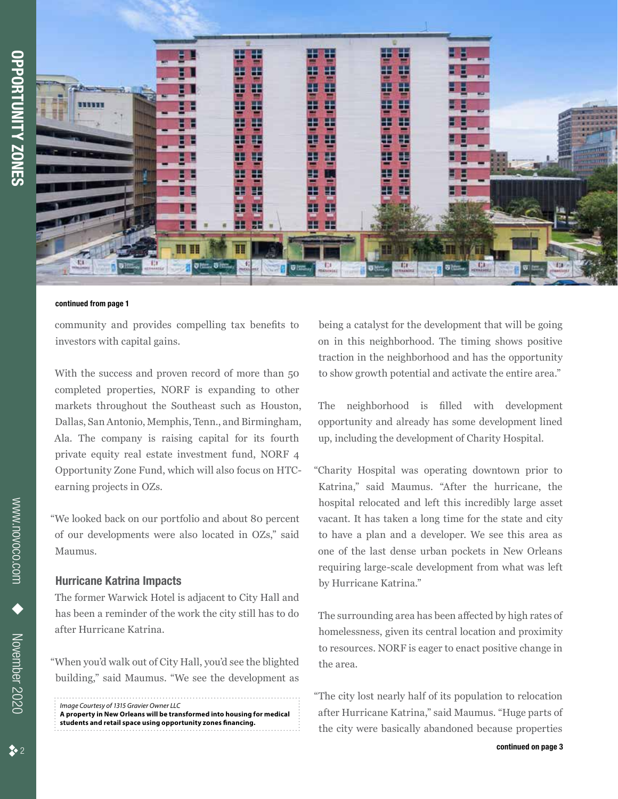

#### **continued from page 1**

community and provides compelling tax benefits to investors with capital gains.

With the success and proven record of more than 50 completed properties, NORF is expanding to other markets throughout the Southeast such as Houston, Dallas, San Antonio, Memphis, Tenn., and Birmingham, Ala. The company is raising capital for its fourth private equity real estate investment fund, NORF 4 Opportunity Zone Fund, which will also focus on HTCearning projects in OZs.

"We looked back on our portfolio and about 80 percent of our developments were also located in OZs," said Maumus.

#### **Hurricane Katrina Impacts**

The former Warwick Hotel is adjacent to City Hall and has been a reminder of the work the city still has to do after Hurricane Katrina.

"When you'd walk out of City Hall, you'd see the blighted building," said Maumus. "We see the development as

*Image Courtesy of 1315 Gravier Owner LLC* **A property in New Orleans will be transformed into housing for medical students and retail space using opportunity zones financing.**

being a catalyst for the development that will be going on in this neighborhood. The timing shows positive traction in the neighborhood and has the opportunity to show growth potential and activate the entire area."

The neighborhood is filled with development opportunity and already has some development lined up, including the development of Charity Hospital.

"Charity Hospital was operating downtown prior to Katrina," said Maumus. "After the hurricane, the hospital relocated and left this incredibly large asset vacant. It has taken a long time for the state and city to have a plan and a developer. We see this area as one of the last dense urban pockets in New Orleans requiring large-scale development from what was left by Hurricane Katrina."

The surrounding area has been affected by high rates of homelessness, given its central location and proximity to resources. NORF is eager to enact positive change in the area.

"The city lost nearly half of its population to relocation after Hurricane Katrina," said Maumus. "Huge parts of the city were basically abandoned because properties

www.novoco.com

WWW.noVoco.com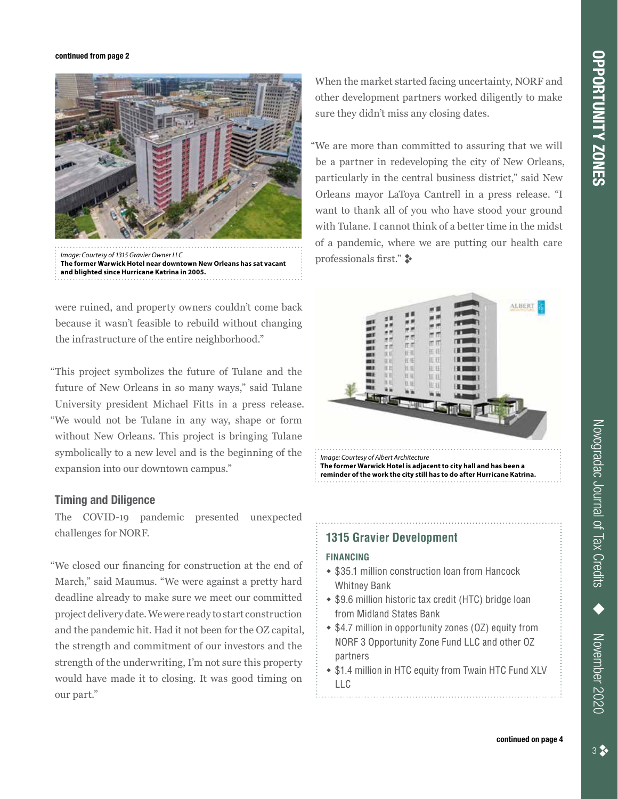#### **continued from page 2**



professionals first." ; *Image: Courtesy of 1315 Gravier Owner LLC* **The former Warwick Hotel near downtown New Orleans has sat vacant and blighted since Hurricane Katrina in 2005.**

were ruined, and property owners couldn't come back because it wasn't feasible to rebuild without changing the infrastructure of the entire neighborhood."

"This project symbolizes the future of Tulane and the future of New Orleans in so many ways," said Tulane University president Michael Fitts in a press release. "We would not be Tulane in any way, shape or form without New Orleans. This project is bringing Tulane symbolically to a new level and is the beginning of the expansion into our downtown campus."

### **Timing and Diligence**

The COVID-19 pandemic presented unexpected challenges for NORF.

"We closed our financing for construction at the end of March," said Maumus. "We were against a pretty hard deadline already to make sure we meet our committed project delivery date. We were ready to start construction and the pandemic hit. Had it not been for the OZ capital, the strength and commitment of our investors and the strength of the underwriting, I'm not sure this property would have made it to closing. It was good timing on our part."

When the market started facing uncertainty, NORF and other development partners worked diligently to make sure they didn't miss any closing dates.

"We are more than committed to assuring that we will be a partner in redeveloping the city of New Orleans, particularly in the central business district," said New Orleans mayor LaToya Cantrell in a press release. "I want to thank all of you who have stood your ground with Tulane. I cannot think of a better time in the midst of a pandemic, where we are putting our health care



**The former Warwick Hotel is adjacent to city hall and has been a reminder of the work the city still has to do after Hurricane Katrina.**

## **1315 Gravier Development**

#### **FINANCING**

- \$35.1 million construction loan from Hancock Whitney Bank
- $\bullet$  \$9.6 million historic tax credit (HTC) bridge loan from Midland States Bank
- \$4.7 million in opportunity zones (OZ) equity from NORF 3 Opportunity Zone Fund LLC and other OZ partners
- \$1.4 million in HTC equity from Twain HTC Fund XLV LLC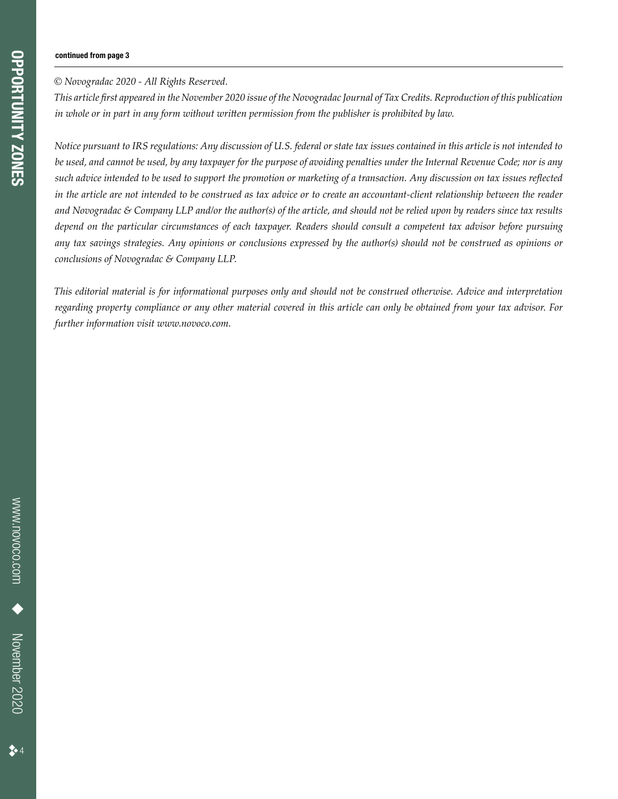#### **continued from page 3**

# *© Novogradac 2020 - All Rights Reserved.*

*This article first appeared in the November 2020 issue of the Novogradac Journal of Tax Credits. Reproduction of this publication in whole or in part in any form without written permission from the publisher is prohibited by law.*

*Notice pursuant to IRS regulations: Any discussion of U.S. federal or state tax issues contained in this article is not intended to be used, and cannot be used, by any taxpayer for the purpose of avoiding penalties under the Internal Revenue Code; nor is any such advice intended to be used to support the promotion or marketing of a transaction. Any discussion on tax issues reflected in the article are not intended to be construed as tax advice or to create an accountant-client relationship between the reader and Novogradac & Company LLP and/or the author(s) of the article, and should not be relied upon by readers since tax results depend on the particular circumstances of each taxpayer. Readers should consult a competent tax advisor before pursuing any tax savings strategies. Any opinions or conclusions expressed by the author(s) should not be construed as opinions or conclusions of Novogradac & Company LLP.* 

*This editorial material is for informational purposes only and should not be construed otherwise. Advice and interpretation regarding property compliance or any other material covered in this article can only be obtained from your tax advisor. For further information visit www.novoco.com.*